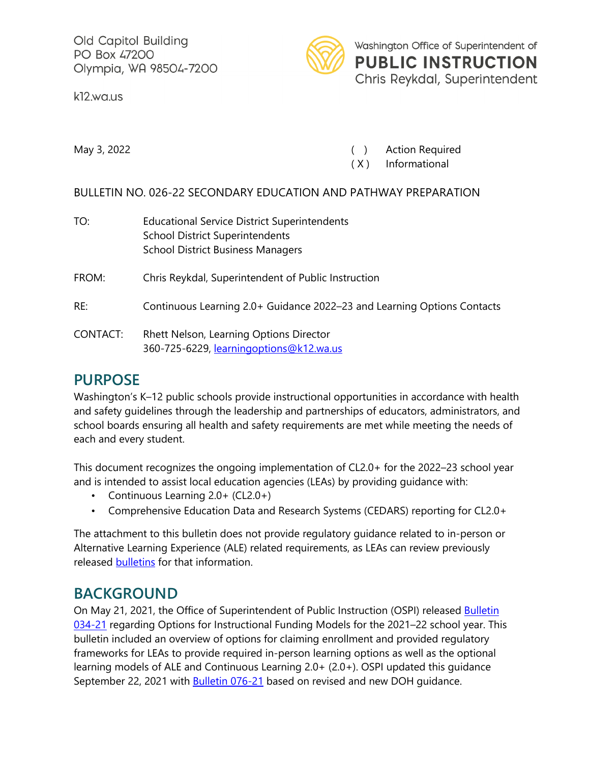Old Capitol Building PO Box 47200 Olympia, WA 98504-7200

k12.wa.us



May 3, 2022 **May 3, 2022 CONFIDENTIFY CONTRACT CONTRACT (CONTRACT CONTRACT CONTRACT CONTRACT CONTRACT CONTRACT CONTRACT CONTRACT CONTRACT CONTRACT CONTRACT CONTRACT CONTRACT CONTRACT CONTRACT CONTRACT CONTRACT CONTRACT C** 

( X ) Informational

#### BULLETIN NO. 026-22 SECONDARY EDUCATION AND PATHWAY PREPARATION

| TO:      | <b>Educational Service District Superintendents</b><br><b>School District Superintendents</b><br><b>School District Business Managers</b> |
|----------|-------------------------------------------------------------------------------------------------------------------------------------------|
| FROM:    | Chris Reykdal, Superintendent of Public Instruction                                                                                       |
| RE:      | Continuous Learning 2.0+ Guidance 2022-23 and Learning Options Contacts                                                                   |
| CONTACT: | Rhett Nelson, Learning Options Director<br>360-725-6229, learningoptions@k12.wa.us                                                        |

### **PURPOSE**

Washington's K–12 public schools provide instructional opportunities in accordance with health and safety guidelines through the leadership and partnerships of educators, administrators, and school boards ensuring all health and safety requirements are met while meeting the needs of each and every student.

This document recognizes the ongoing implementation of CL2.0+ for the 2022–23 school year and is intended to assist local education agencies (LEAs) by providing guidance with:

- Continuous Learning 2.0+ (CL2.0+)
- Comprehensive Education Data and Research Systems (CEDARS) reporting for CL2.0+

The attachment to this bulletin does not provide regulatory guidance related to in-person or Alternative Learning Experience (ALE) related requirements, as LEAs can review previously released [bulletins](https://k12.wa.us/about-ospi/bulletinsmemos/bulletins/2021) for that information.

## **BACKGROUND**

On May 21, 2021, the Office of Superintendent of Public Instruction (OSPI) released **Bulletin** [034-21](https://www.k12.wa.us/sites/default/files/public/bulletinsmemos/bulletins2021/B034-21.pdf) regarding Options for Instructional Funding Models for the 2021–22 school year. This bulletin included an overview of options for claiming enrollment and provided regulatory frameworks for LEAs to provide required in-person learning options as well as the optional learning models of ALE and Continuous Learning 2.0+ (2.0+). OSPI updated this guidance September 22, 2021 with [Bulletin 076-21](https://www.k12.wa.us/sites/default/files/public/bulletinsmemos/bulletins2021/B076-21.pdf) based on revised and new DOH guidance.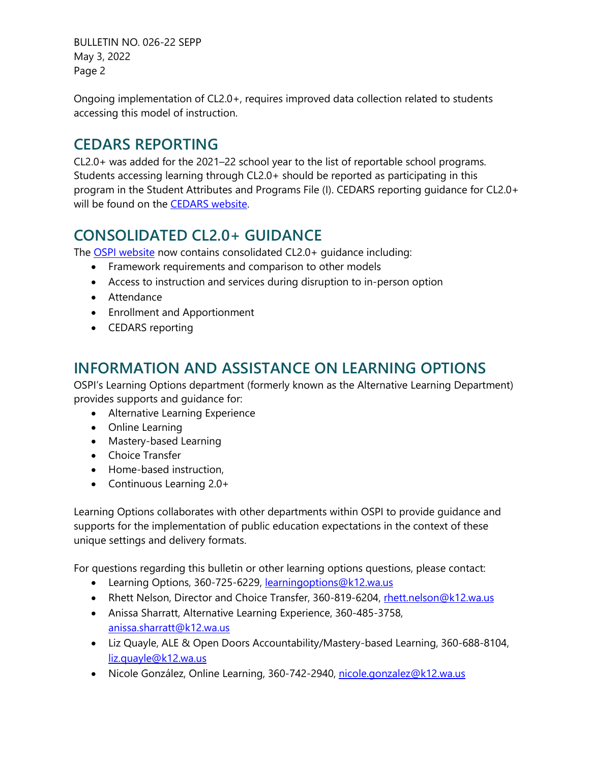BULLETIN NO. 026-22 SEPP May 3, 2022 Page 2

Ongoing implementation of CL2.0+, requires improved data collection related to students accessing this model of instruction.

## **CEDARS REPORTING**

CL2.0+ was added for the 2021–22 school year to the list of reportable school programs. Students accessing learning through CL2.0+ should be reported as participating in this program in the Student Attributes and Programs File (I). CEDARS reporting guidance for CL2.0+ will be found on the **CEDARS** website.

# **CONSOLIDATED CL2.0+ GUIDANCE**

The OSPI [website](https://www.k12.wa.us/student-success/learning-alternatives/continuous-learning) now contains consolidated CL2.0+ guidance including:

- Framework requirements and comparison to other models
- Access to instruction and services during disruption to in-person option
- Attendance
- Enrollment and Apportionment
- CEDARS reporting

## **INFORMATION AND ASSISTANCE ON LEARNING OPTIONS**

OSPI's Learning Options department (formerly known as the Alternative Learning Department) provides supports and guidance for:

- Alternative Learning Experience
- Online Learning
- Mastery-based Learning
- Choice Transfer
- Home-based instruction,
- Continuous Learning 2.0+

Learning Options collaborates with other departments within OSPI to provide guidance and supports for the implementation of public education expectations in the context of these unique settings and delivery formats.

For questions regarding this bulletin or other learning options questions, please contact:

- Learning Options, 360-725-6229, [learningoptions@k12.wa.us](mailto:learningoptions@k12.wa.us)
- Rhett Nelson, Director and Choice Transfer, 360-819-6204, [rhett.nelson@k12.wa.us](mailto:rhett.nelson@k12.wa.us)
- Anissa Sharratt, Alternative Learning Experience, 360-485-3758, [anissa.sharratt@k12.wa.us](mailto:anissa.sharratt@k12.wa.us)
- Liz Quayle, ALE & Open Doors Accountability/Mastery-based Learning, 360-688-8104, [liz.quayle@k12.wa.us](mailto:liz.quayle@k12.wa.us)
- Nicole González, Online Learning, 360-742-2940, [nicole.gonzalez@k12.wa.us](mailto:nicole.gonzalez@k12.wa.us)